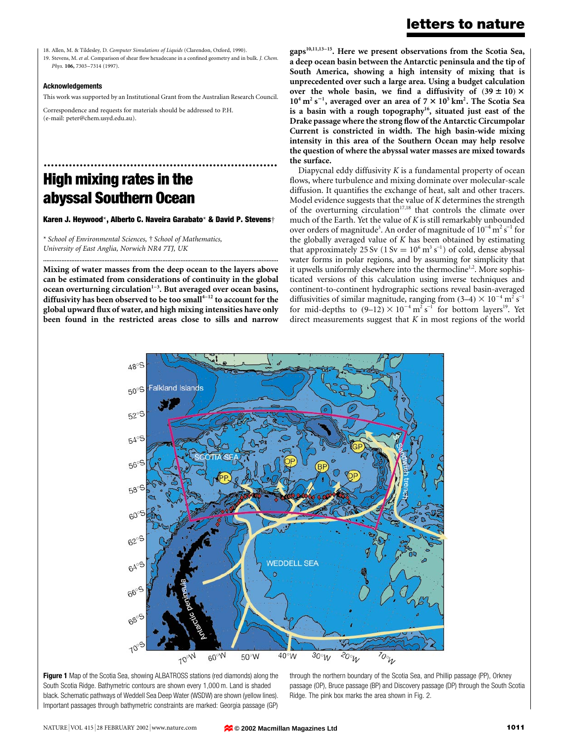18. Allen, M. & Tildesley, D. Computer Simulations of Liquids (Clarendon, Oxford, 1990).

19. Stevens, M. et al. Comparison of shear flow hexadecane in a confined geometry and in bulk. J. Chem. Phys. 106, 7303-7314 (1997).

### Acknowledgements

This work was supported by an Institutional Grant from the Australian Research Council.

Correspondence and requests for materials should be addressed to P.H. (e-mail: peter@chem.usyd.edu.au).

# ................................................................. High mixing rates in the abyssal Southern Ocean

Karen J. Heywood\*, Alberto C. Naveira Garabato\* & David P. Stevens†

\* School of Environmental Sciences, ² School of Mathematics, University of East Anglia, Norwich NR4 7TJ, UK

Mixing of water masses from the deep ocean to the layers above can be estimated from considerations of continuity in the global ocean overturning circulation $1-3$ . But averaged over ocean basins, diffusivity has been observed to be too small $4-12$  to account for the global upward flux of water, and high mixing intensities have only been found in the restricted areas close to sills and narrow

..............................................................................................................................................

 $gaps^{10,11,13-15}$ . Here we present observations from the Scotia Sea, a deep ocean basin between the Antarctic peninsula and the tip of South America, showing a high intensity of mixing that is unprecedented over such a large area. Using a budget calculation over the whole basin, we find a diffusivity of  $(39 \pm 10) \times$  $10^4$  m<sup>2</sup> s<sup>-1</sup>, averaged over an area of 7  $\times$  10<sup>5</sup> km<sup>2</sup>. The Scotia Sea is a basin with a rough topography<sup>16</sup>, situated just east of the Drake passage where the strong flow of the Antarctic Circumpolar Current is constricted in width. The high basin-wide mixing intensity in this area of the Southern Ocean may help resolve the question of where the abyssal water masses are mixed towards the surface.

Diapycnal eddy diffusivity  $K$  is a fundamental property of ocean flows, where turbulence and mixing dominate over molecular-scale diffusion. It quantifies the exchange of heat, salt and other tracers. Model evidence suggests that the value of K determines the strength of the overturning circulation<sup>17,18</sup> that controls the climate over much of the Earth. Yet the value of K is still remarkably unbounded over orders of magnitude<sup>3</sup>. An order of magnitude of  $10^{-4}$  m<sup>2</sup> s<sup>-1</sup> for the globally averaged value of  $K$  has been obtained by estimating that approximately 25 Sv ( $1 \text{ Sv} = 10^6 \text{ m}^3 \text{ s}^{-1}$ ) of cold, dense abyssal water forms in polar regions, and by assuming for simplicity that it upwells uniformly elsewhere into the thermocline<sup>1,2</sup>. More sophisticated versions of this calculation using inverse techniques and continent-to-continent hydrographic sections reveal basin-averaged diffusivities of similar magnitude, ranging from  $(3-4) \times 10^{-4}$  m<sup>2</sup> s<sup>-1</sup> for mid-depths to  $(9-12) \times 10^{-4}$  m<sup>2</sup> s<sup>-1</sup> for bottom layers<sup>19</sup>. Yet direct measurements suggest that  $K$  in most regions of the world





through the northern boundary of the Scotia Sea, and Phillip passage (PP), Orkney passage (OP), Bruce passage (BP) and Discovery passage (DP) through the South Scotia Ridge. The pink box marks the area shown in Fig. 2.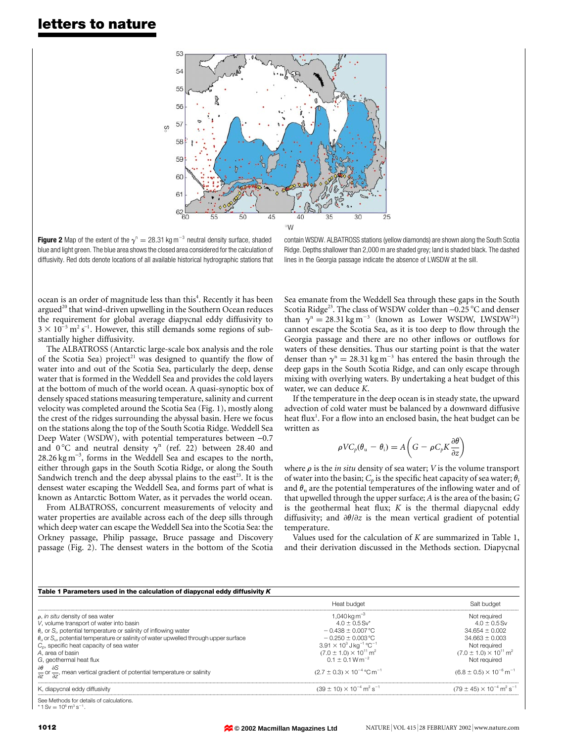

**Figure 2** Map of the extent of the  $\gamma$ <sup>n</sup> = 28.31 kg m<sup>-3</sup> neutral density surface, shaded blue and light green. The blue area shows the closed area considered for the calculation of diffusivity. Red dots denote locations of all available historical hydrographic stations that

contain WSDW. ALBATROSS stations (yellow diamonds) are shown along the South Scotia Ridge. Depths shallower than 2,000 m are shaded grey; land is shaded black. The dashed lines in the Georgia passage indicate the absence of LWSDW at the sill.

ocean is an order of magnitude less than this<sup>4</sup>. Recently it has been argued<sup>20</sup> that wind-driven upwelling in the Southern Ocean reduces the requirement for global average diapycnal eddy diffusivity to  $3 \times 10^{-5}$  m<sup>2</sup> s<sup>-1</sup>. However, this still demands some regions of substantially higher diffusivity.

The ALBATROSS (Antarctic large-scale box analysis and the role of the Scotia Sea) project<sup>21</sup> was designed to quantify the flow of water into and out of the Scotia Sea, particularly the deep, dense water that is formed in the Weddell Sea and provides the cold layers at the bottom of much of the world ocean. A quasi-synoptic box of densely spaced stations measuring temperature, salinity and current velocity was completed around the Scotia Sea (Fig. 1), mostly along the crest of the ridges surrounding the abyssal basin. Here we focus on the stations along the top of the South Scotia Ridge. Weddell Sea Deep Water (WSDW), with potential temperatures between -0.7 and 0°C and neutral density  $\gamma$ <sup>n</sup> (ref. 22) between 28.40 and  $28.26 \text{ kg m}^{-3}$ , forms in the Weddell Sea and escapes to the north, either through gaps in the South Scotia Ridge, or along the South Sandwich trench and the deep abyssal plains to the east<sup>23</sup>. It is the densest water escaping the Weddell Sea, and forms part of what is known as Antarctic Bottom Water, as it pervades the world ocean.

From ALBATROSS, concurrent measurements of velocity and water properties are available across each of the deep sills through which deep water can escape the Weddell Sea into the Scotia Sea: the Orkney passage, Philip passage, Bruce passage and Discovery passage (Fig. 2). The densest waters in the bottom of the Scotia Sea emanate from the Weddell Sea through these gaps in the South Scotia Ridge<sup>23</sup>. The class of WSDW colder than  $-0.25$  °C and denser than  $\gamma$ <sup>n</sup> = 28.31 kg m<sup>-3</sup> (known as Lower WSDW, LWSDW<sup>24</sup>) cannot escape the Scotia Sea, as it is too deep to flow through the Georgia passage and there are no other inflows or outflows for waters of these densities. Thus our starting point is that the water denser than  $\gamma$ <sup>n</sup> = 28.31 kg m<sup>-3</sup> has entered the basin through the deep gaps in the South Scotia Ridge, and can only escape through mixing with overlying waters. By undertaking a heat budget of this water, we can deduce K.

If the temperature in the deep ocean is in steady state, the upward advection of cold water must be balanced by a downward diffusive heat flux $^{\rm l}$ . For a flow into an enclosed basin, the heat budget can be written as

$$
\rho V C_p(\theta_u - \theta_i) = A \left( G - \rho C_p K \frac{\partial \theta}{\partial z} \right)
$$

where  $\rho$  is the *in situ* density of sea water; *V* is the volume transport of water into the basin;  $C_p$  is the specific heat capacity of sea water;  $\theta_i$ and  $\theta_u$  are the potential temperatures of the inflowing water and of that upwelled through the upper surface; A is the area of the basin; G is the geothermal heat flux;  $K$  is the thermal diapycnal eddy diffusivity; and  $\partial\theta/\partial z$  is the mean vertical gradient of potential temperature.

Values used for the calculation of  $K$  are summarized in Table 1, and their derivation discussed in the Methods section. Diapycnal

| Table 1 Parameters used in the calculation of diapycnal eddy diffusivity K                                                            |                                                             |                                                             |
|---------------------------------------------------------------------------------------------------------------------------------------|-------------------------------------------------------------|-------------------------------------------------------------|
|                                                                                                                                       | Heat budget                                                 | Salt budget                                                 |
| $\rho$ , in situ density of sea water                                                                                                 | 1.040 kg m <sup>-3</sup>                                    | Not required                                                |
| V, volume transport of water into basin                                                                                               | $40 + 0.5$ Sv*                                              | $4.0 \pm 0.5$ Sv                                            |
| $\theta_i$ , or S <sub>i</sub> , potential temperature or salinity of inflowing water                                                 | $-0.438 \pm 0.007$ °C                                       | $34.654 \pm 0.002$                                          |
| $\theta_{11}$ or $S_{11}$ , potential temperature or salinity of water upwelled through upper surface                                 | $-0.250 + 0.003$ °C                                         | $34.663 \pm 0.003$                                          |
| $C0$ , specific heat capacity of sea water                                                                                            | $3.91 \times 10^3$ J kg <sup>-1</sup> °C <sup>-1</sup>      | Not reauired                                                |
| A, area of basin                                                                                                                      | $(7.0 \pm 1.0) \times 10^{11}$ m <sup>2</sup>               | $(7.0 \pm 1.0) \times 10^{11}$ m <sup>2</sup>               |
| G, geothermal heat flux                                                                                                               | $0.1 + 0.1 W m^{-2}$                                        | Not required                                                |
| $\frac{\partial \theta}{\partial z}$ or $\frac{\partial S}{\partial z}$ , mean vertical gradient of potential temperature or salinity | $(2.7 \pm 0.3) \times 10^{-4}$ °C m <sup>-1</sup>           | $(6.8 \pm 0.5) \times 10^{-6}$ m <sup>-1</sup>              |
| K, diapycnal eddy diffusivity                                                                                                         | $(39 \pm 10) \times 10^{-4}$ m <sup>2</sup> s <sup>-1</sup> | $(79 \pm 45) \times 10^{-4}$ m <sup>2</sup> s <sup>-1</sup> |
| See Mathode for dataile of calculatione                                                                                               |                                                             |                                                             |

See Methods for details of calculations.  $*$  1 Sv = 10<sup>6</sup> m<sup>3</sup> s<sup>-1</sup>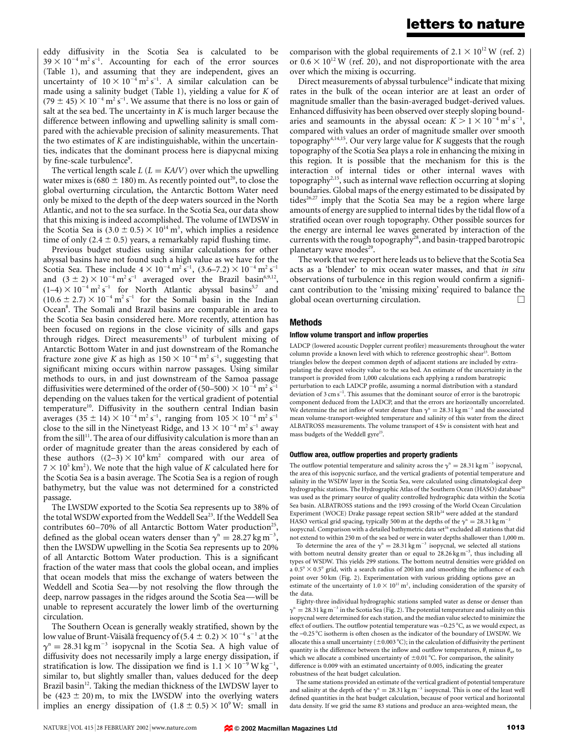eddy diffusivity in the Scotia Sea is calculated to be  $39 \times 10^{-4}$  m<sup>2</sup> s<sup>-1</sup>. Accounting for each of the error sources (Table 1), and assuming that they are independent, gives an uncertainty of  $10 \times 10^{-4}$  m<sup>2</sup> s<sup>-1</sup>. A similar calculation can be made using a salinity budget (Table 1), yielding a value for K of  $(79 \pm 45) \times 10^{-4}$  m<sup>2</sup> s<sup>-1</sup>. We assume that there is no loss or gain of salt at the sea bed. The uncertainty in  $K$  is much larger because the difference between inflowing and upwelling salinity is small compared with the achievable precision of salinity measurements. That the two estimates of  $K$  are indistinguishable, within the uncertainties, indicates that the dominant process here is diapycnal mixing by fine-scale turbulence<sup>9</sup>.

The vertical length scale  $L (L = K A/V)$  over which the upwelling water mixes is (680  $\pm$  180) m. As recently pointed out<sup>20</sup>, to close the global overturning circulation, the Antarctic Bottom Water need only be mixed to the depth of the deep waters sourced in the North Atlantic, and not to the sea surface. In the Scotia Sea, our data show that this mixing is indeed accomplished. The volume of LWDSW in the Scotia Sea is  $(3.0 \pm 0.5) \times 10^{14}$  m<sup>3</sup>, which implies a residence time of only  $(2.4 \pm 0.5)$  years, a remarkably rapid flushing time.

Previous budget studies using similar calculations for other abyssal basins have not found such a high value as we have for the Scotia Sea. These include  $4 \times 10^{-4}$  m<sup>2</sup> s<sup>-1</sup>,  $(3.6-7.2) \times 10^{-4}$  m<sup>2</sup> s<sup>-1</sup> and  $(3 \pm 2) \times 10^{-4}$  m<sup>2</sup> s<sup>-1</sup> averaged over the Brazil basin<sup>6,9,12</sup>,  $(1-4) \times 10^{-4}$  m<sup>2</sup> s<sup>-1</sup> for North Atlantic abyssal basins<sup>5,7</sup> and  $(10.6 \pm 2.7) \times 10^{-4}$  m<sup>2</sup> s<sup>-1</sup> for the Somali basin in the Indian Ocean<sup>8</sup>. The Somali and Brazil basins are comparable in area to the Scotia Sea basin considered here. More recently, attention has been focused on regions in the close vicinity of sills and gaps through ridges. Direct measurements<sup>13</sup> of turbulent mixing of Antarctic Bottom Water in and just downstream of the Romanche fracture zone give K as high as  $150 \times 10^{-4}$  m<sup>2</sup> s<sup>-1</sup>, suggesting that significant mixing occurs within narrow passages. Using similar methods to ours, in and just downstream of the Samoa passage diffusivities were determined of the order of (50–500)  $\times$  10<sup>-4</sup> m<sup>2</sup> s<sup>-1</sup> depending on the values taken for the vertical gradient of potential temperature<sup>10</sup>. Diffusivity in the southern central Indian basin averages  $(35 \pm 14) \times 10^{-4}$  m<sup>2</sup> s<sup>-1</sup>, ranging from  $105 \times 10^{-4}$  m<sup>2</sup> s<sup>-1</sup> close to the sill in the Ninetyeast Ridge, and  $13 \times 10^{-4}$  m<sup>2</sup> s<sup>-1</sup> away from the sill<sup>11</sup>. The area of our diffusivity calculation is more than an order of magnitude greater than the areas considered by each of these authors  $((2-3) \times 10^4 \text{ km}^2$  compared with our area of  $7 \times 10^5$  km<sup>2</sup>). We note that the high value of K calculated here for the Scotia Sea is a basin average. The Scotia Sea is a region of rough bathymetry, but the value was not determined for a constricted passage.

The LWSDW exported to the Scotia Sea represents up to 38% of the total WSDW exported from the Weddell Sea<sup>23</sup>. If the Weddell Sea contributes 60 $-70\%$  of all Antarctic Bottom Water production<sup>25</sup>, defined as the global ocean waters denser than  $\gamma$ <sup>n</sup> = 28.27 kg m<sup>-3</sup>, then the LWSDW upwelling in the Scotia Sea represents up to 20% of all Antarctic Bottom Water production. This is a significant fraction of the water mass that cools the global ocean, and implies that ocean models that miss the exchange of waters between the Weddell and Scotia Sea-by not resolving the flow through the deep, narrow passages in the ridges around the Scotia Sea—will be unable to represent accurately the lower limb of the overturning circulation.

The Southern Ocean is generally weakly stratified, shown by the low value of Brunt-Väisälä frequency of (5.4  $\pm$  0.2)  $\times$  10<sup>-4</sup> s $^{-1}$  at the  $\gamma$ <sup>n</sup> = 28.31 kg m<sup>-3</sup> isopycnal in the Scotia Sea. A high value of diffusivity does not necessarily imply a large energy dissipation, if stratification is low. The dissipation we find is  $1.1 \times 10^{-9}$  W kg<sup>-1</sup>, similar to, but slightly smaller than, values deduced for the deep Brazil basin<sup>12</sup>. Taking the median thickness of the LWDSW layer to be  $(423 \pm 20)$  m, to mix the LWSDW into the overlying waters implies an energy dissipation of  $(1.8 \pm 0.5) \times 10^9$  W: small in

comparison with the global requirements of  $2.1 \times 10^{12}$  W (ref. 2) or  $0.6 \times 10^{12}$  W (ref. 20), and not disproportionate with the area over which the mixing is occurring.

Direct measurements of abyssal turbulence $14$  indicate that mixing rates in the bulk of the ocean interior are at least an order of magnitude smaller than the basin-averaged budget-derived values. Enhanced diffusivity has been observed over steeply sloping boundaries and seamounts in the abyssal ocean:  $K > 1 \times 10^{-4}$  m<sup>2</sup> s<sup>-1</sup>, compared with values an order of magnitude smaller over smooth topography<sup>4,14,15</sup>. Our very large value for  $K$  suggests that the rough topography of the Scotia Sea plays a role in enhancing the mixing in this region. It is possible that the mechanism for this is the interaction of internal tides or other internal waves with topography<sup>2,15</sup>, such as internal wave reflection occurring at sloping boundaries. Global maps of the energy estimated to be dissipated by tides<sup>26,27</sup> imply that the Scotia Sea may be a region where large amounts of energy are supplied to internal tides by the tidal flow of a stratified ocean over rough topography. Other possible sources for the energy are internal lee waves generated by interaction of the currents with the rough topography<sup>28</sup>, and basin-trapped barotropic planetary wave modes $29$ .

The work that we report here leads us to believe that the Scotia Sea acts as a 'blender' to mix ocean water masses, and that in situ observations of turbulence in this region would confirm a significant contribution to the `missing mixing' required to balance the global ocean overturning circulation.

### Methods

## Inflow volume transport and inflow properties

LADCP (lowered acoustic Doppler current profiler) measurements throughout the water column provide a known level with which to reference geostrophic shear<sup>23</sup>. Bottom triangles below the deepest common depth of adjacent stations are included by extrapolating the deepest velocity value to the sea bed. An estimate of the uncertainty in the transport is provided from 1,000 calculations each applying a random baratropic perturbation to each LADCP profile, assuming a normal distribution with a standard deviation of  $3 \text{ cm s}^{-1}$ . This assumes that the dominant source of error is the barotropic component deduced from the LADCP, and that the errors are horizontally uncorrelated. We determine the net inflow of water denser than  $\gamma$ <sup>n</sup> = 28.31 kg m<sup>-3</sup> and the associated mean volume-transport-weighted temperature and salinity of this water from the direct ALBATROSS measurements. The volume transport of 4 Sv is consistent with heat and mass budgets of the Weddell gyre<sup>23</sup>.

#### Outflow area, outflow properties and property gradients

The outflow potential temperature and salinity across the  $\gamma$ <sup>n</sup> = 28.31 kg m<sup>-3</sup> isopycnal, the area of this isopycnic surface, and the vertical gradients of potential temperature and salinity in the WSDW layer in the Scotia Sea, were calculated using climatological deep hydrographic stations. The Hydrographic Atlas of the Southern Ocean (HASO) database was used as the primary source of quality controlled hydrographic data within the Scotia Sea basin. ALBATROSS stations and the 1993 crossing of the World Ocean Circulation Experiment (WOCE) Drake passage repeat section SR1b<sup>24</sup> were added at the standard HASO vertical grid spacing, typically 500 m at the depths of the  $\gamma$ <sup>n</sup> = 28.31 kg m<sup>-3</sup> isopycnal. Comparison with a detailed bathymetric data set<sup>16</sup> excluded all stations that did not extend to within 250 m of the sea bed or were in water depths shallower than 1,000 m.

To determine the area of the  $\gamma$ <sup>n</sup> = 28.31 kg m<sup>-3</sup> isopycnal, we selected all stations with bottom neutral density greater than or equal to  $28.26 \text{ kg m}^{-3}$ , thus including all types of WSDW. This yields 299 stations. The bottom neutral densities were gridded on a  $0.5^{\circ}\times0.5^{\circ}$  grid, with a search radius of 200 km and smoothing the influence of each point over 50 km (Fig. 2). Experimentation with various gridding options gave an estimate of the uncertainty of  $1.0 \times 10^{11}$  m<sup>2</sup>, including consideration of the sparsity of the data.

Eighty-three individual hydrographic stations sampled water as dense or denser than  $\gamma$ <sup>n</sup> = 28.31 kg m<sup>-3</sup> in the Scotia Sea (Fig. 2). The potential temperature and salinity on this isopycnal were determined for each station, and the median value selected to minimize the effect of outliers. The outflow potential temperature was  $-0.25\,^{\circ}\text{C}$ , as we would expect, as the  $-0.25\degree$ C isotherm is often chosen as the indicator of the boundary of LWSDW. We allocate this a small uncertainty (  $\pm 0.003$  °C); in the calculation of diffusivity the pertinent quantity is the difference between the inflow and outflow temperatures,  $\theta_i$  minus  $\theta_w$ , to which we allocate a combined uncertainty of  $\pm 0.01$  °C. For comparison, the salinity difference is 0.009 with an estimated uncertainty of 0.005, indicating the greater robustness of the heat budget calculation.

The same stations provided an estimate of the vertical gradient of potential temperature and salinity at the depth of the  $\gamma$ <sup>n</sup> = 28.31 kg m<sup>-3</sup> isopycnal. This is one of the least well defined quantities in the heat budget calculation, because of poor vertical and horizontal data density. If we grid the same 83 stations and produce an area-weighted mean, the